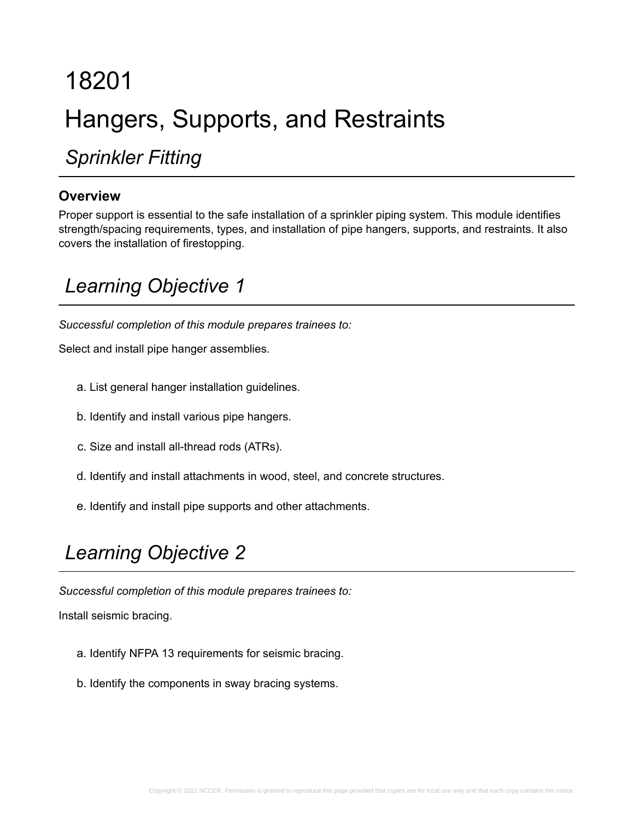# 18201 Hangers, Supports, and Restraints

*Sprinkler Fitting*

#### **Overview**

Proper support is essential to the safe installation of a sprinkler piping system. This module identifies strength/spacing requirements, types, and installation of pipe hangers, supports, and restraints. It also covers the installation of firestopping.

## *Learning Objective 1*

*Successful completion of this module prepares trainees to:*

Select and install pipe hanger assemblies.

- a. List general hanger installation guidelines.
- b. Identify and install various pipe hangers.
- c. Size and install all-thread rods (ATRs).
- d. Identify and install attachments in wood, steel, and concrete structures.
- e. Identify and install pipe supports and other attachments.

## *Learning Objective 2*

*Successful completion of this module prepares trainees to:*

Install seismic bracing.

- a. Identify NFPA 13 requirements for seismic bracing.
- b. Identify the components in sway bracing systems.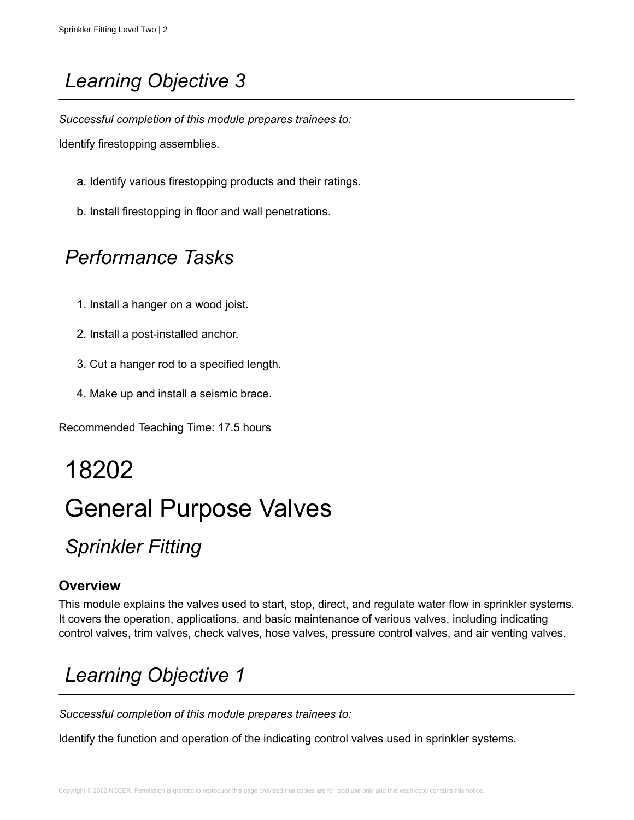*Successful completion of this module prepares trainees to:*

Identify firestopping assemblies.

- a. Identify various firestopping products and their ratings.
- b. Install firestopping in floor and wall penetrations.

## *Performance Tasks*

- 1. Install a hanger on a wood joist.
- 2. Install a post-installed anchor.
- 3. Cut a hanger rod to a specified length.
- 4. Make up and install a seismic brace.

Recommended Teaching Time: 17.5 hours

## 18202

# General Purpose Valves

## *Sprinkler Fitting*

#### **Overview**

This module explains the valves used to start, stop, direct, and regulate water flow in sprinkler systems. It covers the operation, applications, and basic maintenance of various valves, including indicating control valves, trim valves, check valves, hose valves, pressure control valves, and air venting valves.

## *Learning Objective 1*

*Successful completion of this module prepares trainees to:*

Identify the function and operation of the indicating control valves used in sprinkler systems.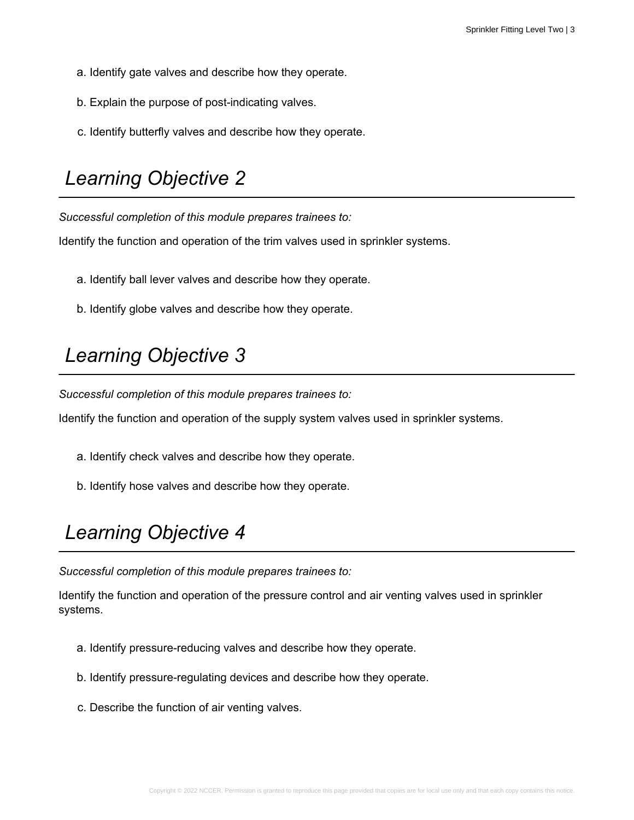- a. Identify gate valves and describe how they operate.
- b. Explain the purpose of post-indicating valves.
- c. Identify butterfly valves and describe how they operate.

*Successful completion of this module prepares trainees to:*

Identify the function and operation of the trim valves used in sprinkler systems.

- a. Identify ball lever valves and describe how they operate.
- b. Identify globe valves and describe how they operate.

#### *Learning Objective 3*

*Successful completion of this module prepares trainees to:*

Identify the function and operation of the supply system valves used in sprinkler systems.

- a. Identify check valves and describe how they operate.
- b. Identify hose valves and describe how they operate.

## *Learning Objective 4*

*Successful completion of this module prepares trainees to:*

Identify the function and operation of the pressure control and air venting valves used in sprinkler systems.

- a. Identify pressure-reducing valves and describe how they operate.
- b. Identify pressure-regulating devices and describe how they operate.
- c. Describe the function of air venting valves.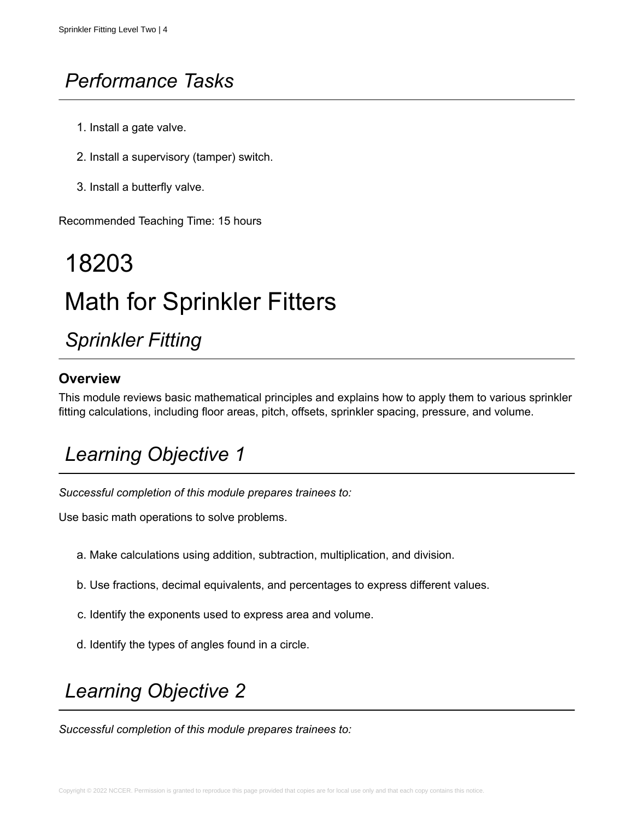## *Performance Tasks*

- 1. Install a gate valve.
- 2. Install a supervisory (tamper) switch.
- 3. Install a butterfly valve.

Recommended Teaching Time: 15 hours

# 18203 Math for Sprinkler Fitters

## *Sprinkler Fitting*

#### **Overview**

This module reviews basic mathematical principles and explains how to apply them to various sprinkler fitting calculations, including floor areas, pitch, offsets, sprinkler spacing, pressure, and volume.

## *Learning Objective 1*

*Successful completion of this module prepares trainees to:*

Use basic math operations to solve problems.

- a. Make calculations using addition, subtraction, multiplication, and division.
- b. Use fractions, decimal equivalents, and percentages to express different values.
- c. Identify the exponents used to express area and volume.
- d. Identify the types of angles found in a circle.

### *Learning Objective 2*

*Successful completion of this module prepares trainees to:*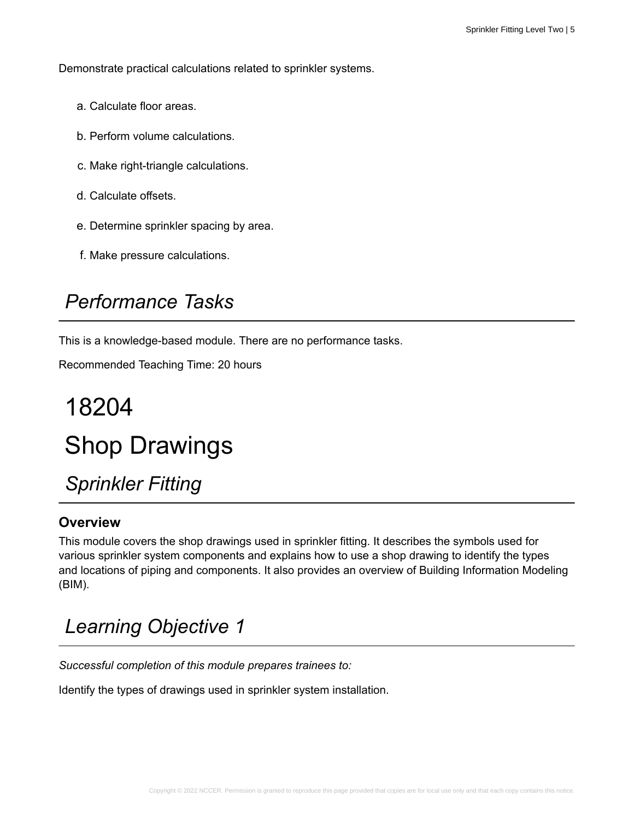Demonstrate practical calculations related to sprinkler systems.

- a. Calculate floor areas.
- b. Perform volume calculations.
- c. Make right-triangle calculations.
- d. Calculate offsets.
- e. Determine sprinkler spacing by area.
- f. Make pressure calculations.

### *Performance Tasks*

This is a knowledge-based module. There are no performance tasks.

Recommended Teaching Time: 20 hours

# 18204 Shop Drawings

*Sprinkler Fitting*

#### **Overview**

This module covers the shop drawings used in sprinkler fitting. It describes the symbols used for various sprinkler system components and explains how to use a shop drawing to identify the types and locations of piping and components. It also provides an overview of Building Information Modeling (BIM).

## *Learning Objective 1*

*Successful completion of this module prepares trainees to:*

Identify the types of drawings used in sprinkler system installation.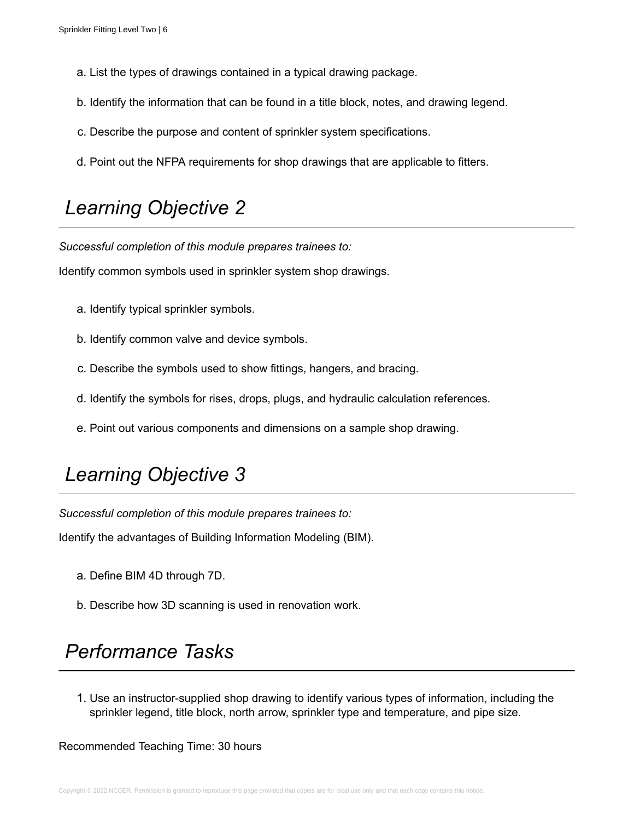- a. List the types of drawings contained in a typical drawing package.
- b. Identify the information that can be found in a title block, notes, and drawing legend.
- c. Describe the purpose and content of sprinkler system specifications.
- d. Point out the NFPA requirements for shop drawings that are applicable to fitters.

*Successful completion of this module prepares trainees to:*

Identify common symbols used in sprinkler system shop drawings.

- a. Identify typical sprinkler symbols.
- b. Identify common valve and device symbols.
- c. Describe the symbols used to show fittings, hangers, and bracing.
- d. Identify the symbols for rises, drops, plugs, and hydraulic calculation references.
- e. Point out various components and dimensions on a sample shop drawing.

#### *Learning Objective 3*

*Successful completion of this module prepares trainees to:*

Identify the advantages of Building Information Modeling (BIM).

- a. Define BIM 4D through 7D.
- b. Describe how 3D scanning is used in renovation work.

#### *Performance Tasks*

1. Use an instructor-supplied shop drawing to identify various types of information, including the sprinkler legend, title block, north arrow, sprinkler type and temperature, and pipe size.

Recommended Teaching Time: 30 hours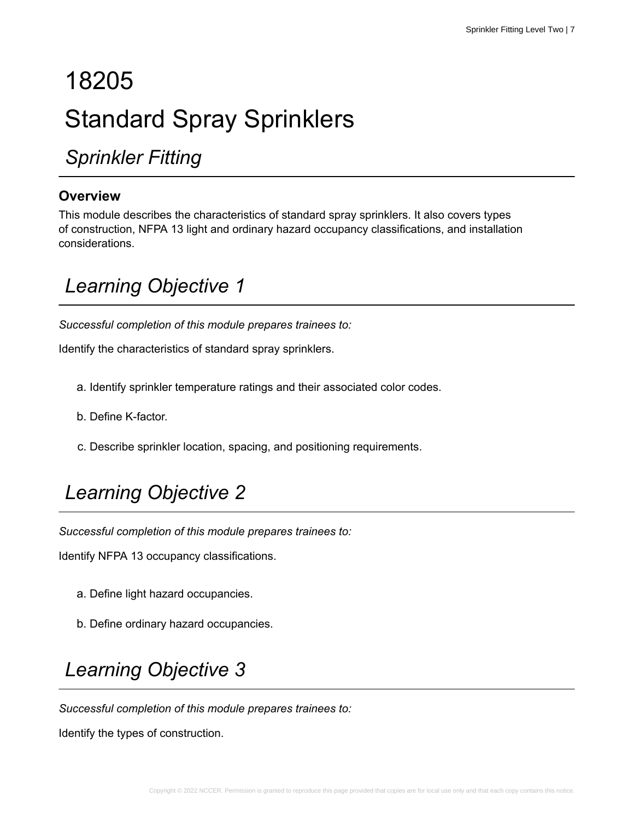# 18205 Standard Spray Sprinklers

*Sprinkler Fitting*

#### **Overview**

This module describes the characteristics of standard spray sprinklers. It also covers types of construction, NFPA 13 light and ordinary hazard occupancy classifications, and installation considerations.

## *Learning Objective 1*

*Successful completion of this module prepares trainees to:*

Identify the characteristics of standard spray sprinklers.

- a. Identify sprinkler temperature ratings and their associated color codes.
- b. Define K-factor.
- c. Describe sprinkler location, spacing, and positioning requirements.

## *Learning Objective 2*

*Successful completion of this module prepares trainees to:*

Identify NFPA 13 occupancy classifications.

- a. Define light hazard occupancies.
- b. Define ordinary hazard occupancies.

## *Learning Objective 3*

*Successful completion of this module prepares trainees to:*

Identify the types of construction.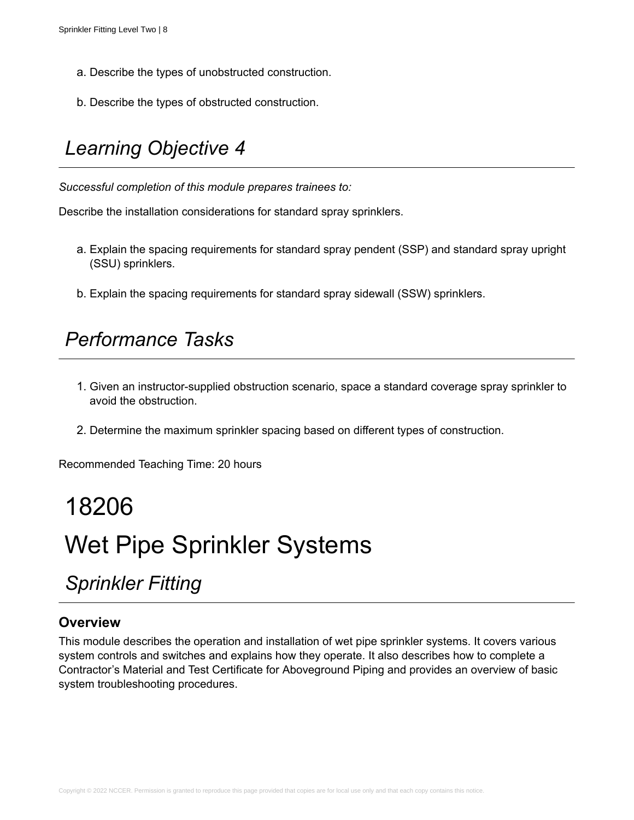- a. Describe the types of unobstructed construction.
- b. Describe the types of obstructed construction.

*Successful completion of this module prepares trainees to:*

Describe the installation considerations for standard spray sprinklers.

- a. Explain the spacing requirements for standard spray pendent (SSP) and standard spray upright (SSU) sprinklers.
- b. Explain the spacing requirements for standard spray sidewall (SSW) sprinklers.

#### *Performance Tasks*

- 1. Given an instructor-supplied obstruction scenario, space a standard coverage spray sprinkler to avoid the obstruction.
- 2. Determine the maximum sprinkler spacing based on different types of construction.

Recommended Teaching Time: 20 hours

# 18206 Wet Pipe Sprinkler Systems

## *Sprinkler Fitting*

#### **Overview**

This module describes the operation and installation of wet pipe sprinkler systems. It covers various system controls and switches and explains how they operate. It also describes how to complete a Contractor's Material and Test Certificate for Aboveground Piping and provides an overview of basic system troubleshooting procedures.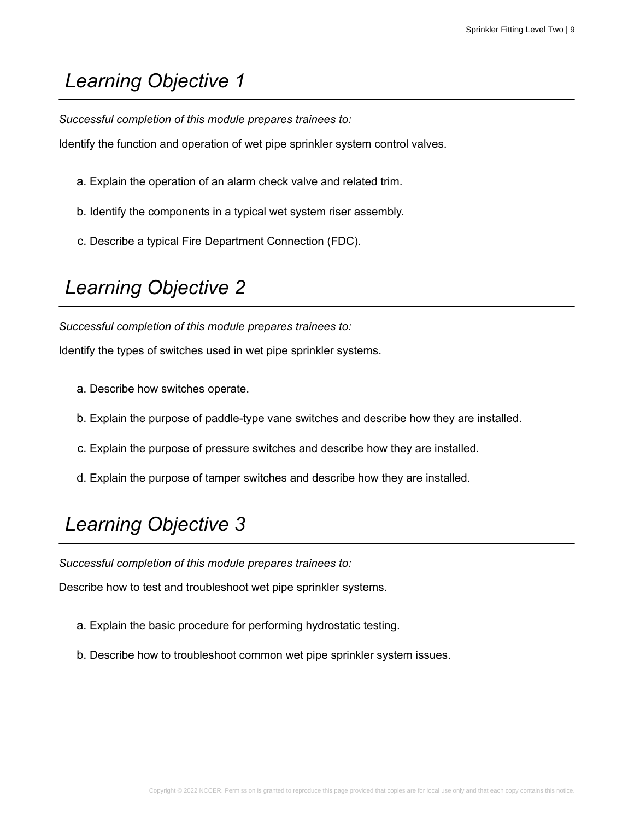*Successful completion of this module prepares trainees to:*

Identify the function and operation of wet pipe sprinkler system control valves.

- a. Explain the operation of an alarm check valve and related trim.
- b. Identify the components in a typical wet system riser assembly.
- c. Describe a typical Fire Department Connection (FDC).

## *Learning Objective 2*

*Successful completion of this module prepares trainees to:*

Identify the types of switches used in wet pipe sprinkler systems.

- a. Describe how switches operate.
- b. Explain the purpose of paddle-type vane switches and describe how they are installed.
- c. Explain the purpose of pressure switches and describe how they are installed.
- d. Explain the purpose of tamper switches and describe how they are installed.

## *Learning Objective 3*

*Successful completion of this module prepares trainees to:*

Describe how to test and troubleshoot wet pipe sprinkler systems.

- a. Explain the basic procedure for performing hydrostatic testing.
- b. Describe how to troubleshoot common wet pipe sprinkler system issues.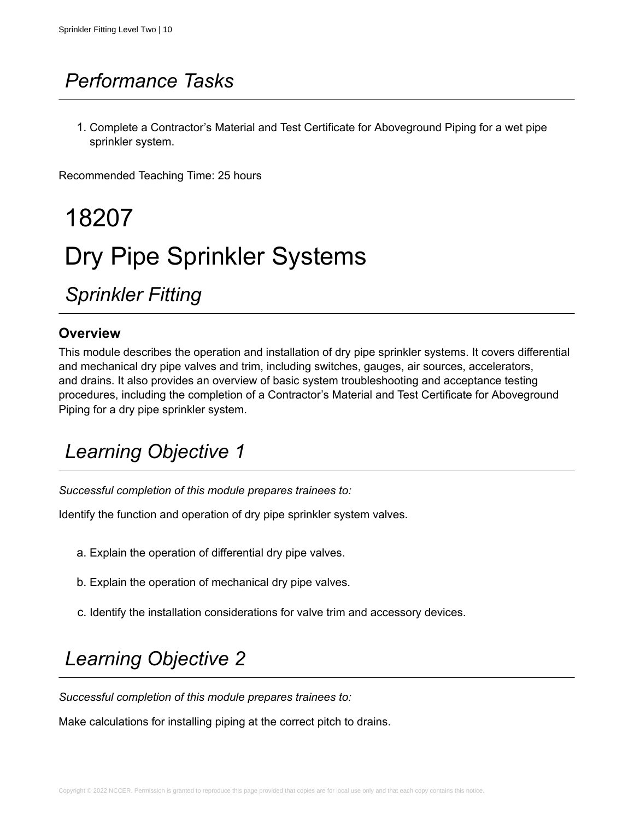## *Performance Tasks*

1. Complete a Contractor's Material and Test Certificate for Aboveground Piping for a wet pipe sprinkler system.

Recommended Teaching Time: 25 hours

18207 Dry Pipe Sprinkler Systems

*Sprinkler Fitting*

#### **Overview**

This module describes the operation and installation of dry pipe sprinkler systems. It covers differential and mechanical dry pipe valves and trim, including switches, gauges, air sources, accelerators, and drains. It also provides an overview of basic system troubleshooting and acceptance testing procedures, including the completion of a Contractor's Material and Test Certificate for Aboveground Piping for a dry pipe sprinkler system.

## *Learning Objective 1*

*Successful completion of this module prepares trainees to:*

Identify the function and operation of dry pipe sprinkler system valves.

- a. Explain the operation of differential dry pipe valves.
- b. Explain the operation of mechanical dry pipe valves.
- c. Identify the installation considerations for valve trim and accessory devices.

## *Learning Objective 2*

*Successful completion of this module prepares trainees to:*

Make calculations for installing piping at the correct pitch to drains.